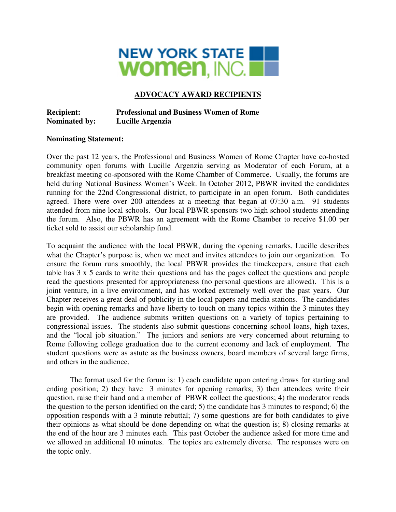

# **ADVOCACY AWARD RECIPIENTS**

## **Recipient: Professional and Business Women of Rome Nominated by: Lucille Argenzia**

### **Nominating Statement:**

Over the past 12 years, the Professional and Business Women of Rome Chapter have co-hosted community open forums with Lucille Argenzia serving as Moderator of each Forum, at a breakfast meeting co-sponsored with the Rome Chamber of Commerce. Usually, the forums are held during National Business Women's Week. In October 2012, PBWR invited the candidates running for the 22nd Congressional district, to participate in an open forum. Both candidates agreed. There were over 200 attendees at a meeting that began at 07:30 a.m. 91 students attended from nine local schools. Our local PBWR sponsors two high school students attending the forum. Also, the PBWR has an agreement with the Rome Chamber to receive \$1.00 per ticket sold to assist our scholarship fund.

To acquaint the audience with the local PBWR, during the opening remarks, Lucille describes what the Chapter's purpose is, when we meet and invites attendees to join our organization. To ensure the forum runs smoothly, the local PBWR provides the timekeepers, ensure that each table has 3 x 5 cards to write their questions and has the pages collect the questions and people read the questions presented for appropriateness (no personal questions are allowed). This is a joint venture, in a live environment, and has worked extremely well over the past years. Our Chapter receives a great deal of publicity in the local papers and media stations. The candidates begin with opening remarks and have liberty to touch on many topics within the 3 minutes they are provided. The audience submits written questions on a variety of topics pertaining to congressional issues. The students also submit questions concerning school loans, high taxes, and the "local job situation." The juniors and seniors are very concerned about returning to Rome following college graduation due to the current economy and lack of employment. The student questions were as astute as the business owners, board members of several large firms, and others in the audience.

 The format used for the forum is: 1) each candidate upon entering draws for starting and ending position; 2) they have 3 minutes for opening remarks; 3) then attendees write their question, raise their hand and a member of PBWR collect the questions; 4) the moderator reads the question to the person identified on the card; 5) the candidate has 3 minutes to respond; 6) the opposition responds with a 3 minute rebuttal; 7) some questions are for both candidates to give their opinions as what should be done depending on what the question is; 8) closing remarks at the end of the hour are 3 minutes each. This past October the audience asked for more time and we allowed an additional 10 minutes. The topics are extremely diverse. The responses were on the topic only.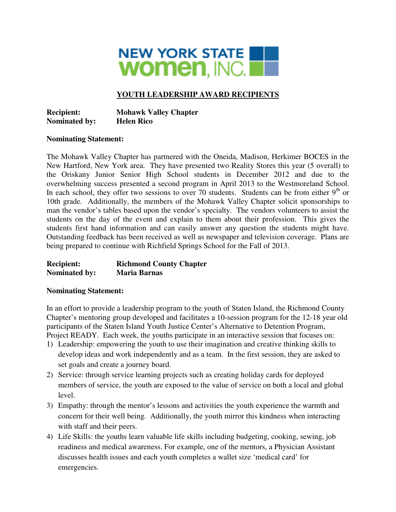

# **YOUTH LEADERSHIP AWARD RECIPIENTS**

**Recipient: Mohawk Valley Chapter Nominated by: Helen Rico** 

### **Nominating Statement:**

The Mohawk Valley Chapter has partnered with the Oneida, Madison, Herkimer BOCES in the New Hartford, New York area. They have presented two Reality Stores this year (5 overall) to the Oriskany Junior Senior High School students in December 2012 and due to the overwhelming success presented a second program in April 2013 to the Westmoreland School. In each school, they offer two sessions to over 70 students. Students can be from either  $9<sup>th</sup>$  or 10th grade. Additionally, the members of the Mohawk Valley Chapter solicit sponsorships to man the vendor's tables based upon the vendor's specialty. The vendors volunteers to assist the students on the day of the event and explain to them about their profession. This gives the students first hand information and can easily answer any question the students might have. Outstanding feedback has been received as well as newspaper and television coverage. Plans are being prepared to continue with Richfield Springs School for the Fall of 2013.

### **Recipient: Richmond County Chapter Nominated by: Maria Barnas**

### **Nominating Statement:**

In an effort to provide a leadership program to the youth of Staten Island, the Richmond County Chapter's mentoring group developed and facilitates a 10-session program for the 12-18 year old participants of the Staten Island Youth Justice Center's Alternative to Detention Program, Project READY. Each week, the youths participate in an interactive session that focuses on:

- 1) Leadership: empowering the youth to use their imagination and creative thinking skills to develop ideas and work independently and as a team. In the first session, they are asked to set goals and create a journey board.
- 2) Service: through service learning projects such as creating holiday cards for deployed members of service, the youth are exposed to the value of service on both a local and global level.
- 3) Empathy: through the mentor's lessons and activities the youth experience the warmth and concern for their well being. Additionally, the youth mirror this kindness when interacting with staff and their peers.
- 4) Life Skills: the youths learn valuable life skills including budgeting, cooking, sewing, job readiness and medical awareness. For example, one of the mentors, a Physician Assistant discusses health issues and each youth completes a wallet size 'medical card' for emergencies.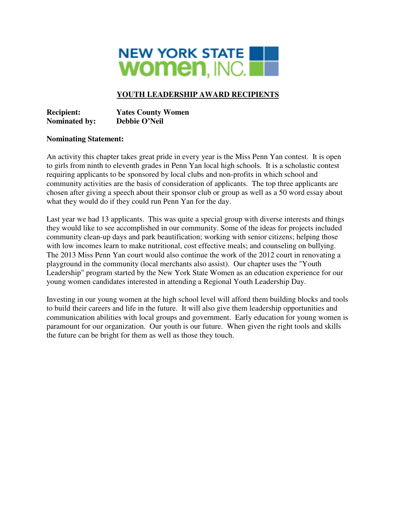

# **YOUTH LEADERSHIP AWARD RECIPIENTS**

**Recipient: Yates County Women Nominated by: Debbie O'Neil** 

### **Nominating Statement:**

An activity this chapter takes great pride in every year is the Miss Penn Yan contest. It is open to girls from ninth to eleventh grades in Penn Yan local high schools. It is a scholastic contest requiring applicants to be sponsored by local clubs and non-profits in which school and community activities are the basis of consideration of applicants. The top three applicants are chosen after giving a speech about their sponsor club or group as well as a 50 word essay about what they would do if they could run Penn Yan for the day.

Last year we had 13 applicants. This was quite a special group with diverse interests and things they would like to see accomplished in our community. Some of the ideas for projects included community clean-up days and park beautification; working with senior citizens; helping those with low incomes learn to make nutritional, cost effective meals; and counseling on bullying. The 2013 Miss Penn Yan court would also continue the work of the 2012 court in renovating a playground in the community (local merchants also assist). Our chapter uses the "Youth Leadership" program started by the New York State Women as an education experience for our young women candidates interested in attending a Regional Youth Leadership Day.

Investing in our young women at the high school level will afford them building blocks and tools to build their careers and life in the future. It will also give them leadership opportunities and communication abilities with local groups and government. Early education for young women is paramount for our organization. Our youth is our future. When given the right tools and skills the future can be bright for them as well as those they touch.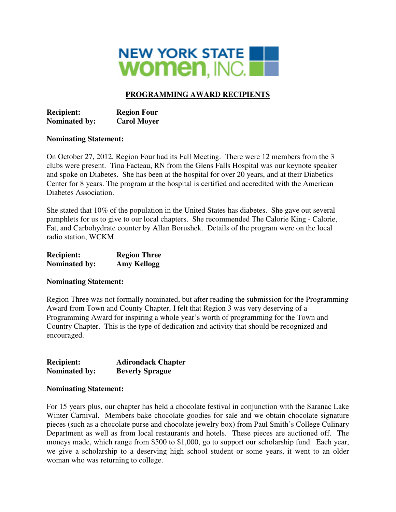

# **PROGRAMMING AWARD RECIPIENTS**

**Recipient: Region Four Nominated by: Carol Moyer** 

### **Nominating Statement:**

On October 27, 2012, Region Four had its Fall Meeting. There were 12 members from the 3 clubs were present. Tina Facteau, RN from the Glens Falls Hospital was our keynote speaker and spoke on Diabetes. She has been at the hospital for over 20 years, and at their Diabetics Center for 8 years. The program at the hospital is certified and accredited with the American Diabetes Association.

She stated that 10% of the population in the United States has diabetes. She gave out several pamphlets for us to give to our local chapters. She recommended The Calorie King - Calorie, Fat, and Carbohydrate counter by Allan Borushek. Details of the program were on the local radio station, WCKM.

| <b>Recipient:</b>    | <b>Region Three</b> |
|----------------------|---------------------|
| <b>Nominated by:</b> | <b>Amy Kellogg</b>  |

### **Nominating Statement:**

Region Three was not formally nominated, but after reading the submission for the Programming Award from Town and County Chapter, I felt that Region 3 was very deserving of a Programming Award for inspiring a whole year's worth of programming for the Town and Country Chapter. This is the type of dedication and activity that should be recognized and encouraged.

| <b>Recipient:</b>    | <b>Adirondack Chapter</b> |
|----------------------|---------------------------|
| <b>Nominated by:</b> | <b>Beverly Sprague</b>    |

#### **Nominating Statement:**

For 15 years plus, our chapter has held a chocolate festival in conjunction with the Saranac Lake Winter Carnival. Members bake chocolate goodies for sale and we obtain chocolate signature pieces (such as a chocolate purse and chocolate jewelry box) from Paul Smith's College Culinary Department as well as from local restaurants and hotels. These pieces are auctioned off. The moneys made, which range from \$500 to \$1,000, go to support our scholarship fund. Each year, we give a scholarship to a deserving high school student or some years, it went to an older woman who was returning to college.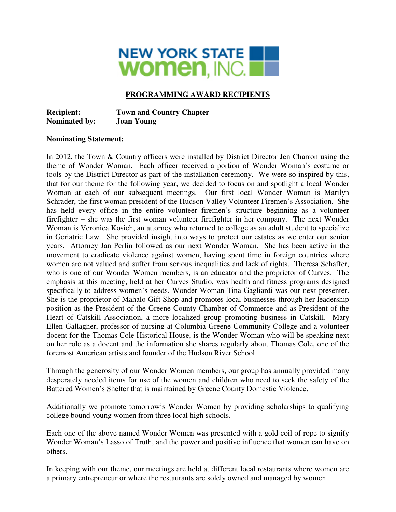

## **PROGRAMMING AWARD RECIPIENTS**

**Recipient: Town and Country Chapter Nominated by: Joan Young** 

#### **Nominating Statement:**

In 2012, the Town & Country officers were installed by District Director Jen Charron using the theme of Wonder Woman. Each officer received a portion of Wonder Woman's costume or tools by the District Director as part of the installation ceremony. We were so inspired by this, that for our theme for the following year, we decided to focus on and spotlight a local Wonder Woman at each of our subsequent meetings. Our first local Wonder Woman is Marilyn Schrader, the first woman president of the Hudson Valley Volunteer Firemen's Association. She has held every office in the entire volunteer firemen's structure beginning as a volunteer firefighter – she was the first woman volunteer firefighter in her company. The next Wonder Woman is Veronica Kosich, an attorney who returned to college as an adult student to specialize in Geriatric Law. She provided insight into ways to protect our estates as we enter our senior years. Attorney Jan Perlin followed as our next Wonder Woman. She has been active in the movement to eradicate violence against women, having spent time in foreign countries where women are not valued and suffer from serious inequalities and lack of rights. Theresa Schaffer, who is one of our Wonder Women members, is an educator and the proprietor of Curves. The emphasis at this meeting, held at her Curves Studio, was health and fitness programs designed specifically to address women's needs. Wonder Woman Tina Gagliardi was our next presenter. She is the proprietor of Mahalo Gift Shop and promotes local businesses through her leadership position as the President of the Greene County Chamber of Commerce and as President of the Heart of Catskill Association, a more localized group promoting business in Catskill. Mary Ellen Gallagher, professor of nursing at Columbia Greene Community College and a volunteer docent for the Thomas Cole Historical House, is the Wonder Woman who will be speaking next on her role as a docent and the information she shares regularly about Thomas Cole, one of the foremost American artists and founder of the Hudson River School.

Through the generosity of our Wonder Women members, our group has annually provided many desperately needed items for use of the women and children who need to seek the safety of the Battered Women's Shelter that is maintained by Greene County Domestic Violence.

Additionally we promote tomorrow's Wonder Women by providing scholarships to qualifying college bound young women from three local high schools.

Each one of the above named Wonder Women was presented with a gold coil of rope to signify Wonder Woman's Lasso of Truth, and the power and positive influence that women can have on others.

In keeping with our theme, our meetings are held at different local restaurants where women are a primary entrepreneur or where the restaurants are solely owned and managed by women.